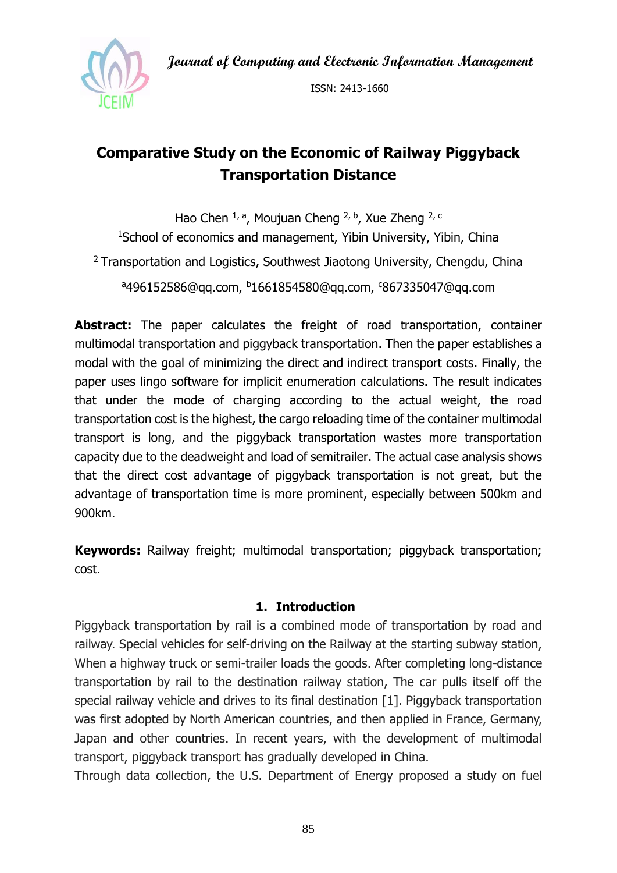**Journal of Computing and Electronic Information Management**



ISSN: 2413-1660

# **Comparative Study on the Economic of Railway Piggyback Transportation Distance**

Hao Chen  $1, a$ , Moujuan Cheng  $2, b$ , Xue Zheng  $2, c$ <sup>1</sup>School of economics and management, Yibin University, Yibin, China <sup>2</sup> Transportation and Logistics, Southwest Jiaotong University, Chengdu, China <sup>a</sup>496152586@qq.com, <sup>b</sup>1661854580@qq.com, <sup>c</sup>867335047@qq.com

**Abstract:** The paper calculates the freight of road transportation, container multimodal transportation and piggyback transportation. Then the paper establishes a modal with the goal of minimizing the direct and indirect transport costs. Finally, the paper uses lingo software for implicit enumeration calculations. The result indicates that under the mode of charging according to the actual weight, the road transportation cost is the highest, the cargo reloading time of the container multimodal transport is long, and the piggyback transportation wastes more transportation capacity due to the deadweight and load of semitrailer. The actual case analysis shows that the direct cost advantage of piggyback transportation is not great, but the advantage of transportation time is more prominent, especially between 500km and 900km.

**Keywords:** Railway freight; multimodal transportation; piggyback transportation; cost.

## **1. Introduction**

Piggyback transportation by rail is a combined mode of transportation by road and railway. Special vehicles for self-driving on the Railway at the starting subway station, When a highway truck or semi-trailer loads the goods. After completing long-distance transportation by rail to the destination railway station, The car pulls itself off the special railway vehicle and drives to its final destination [1]. Piggyback transportation was first adopted by North American countries, and then applied in France, Germany, Japan and other countries. In recent years, with the development of multimodal transport, piggyback transport has gradually developed in China.

Through data collection, the U.S. Department of Energy proposed a study on fuel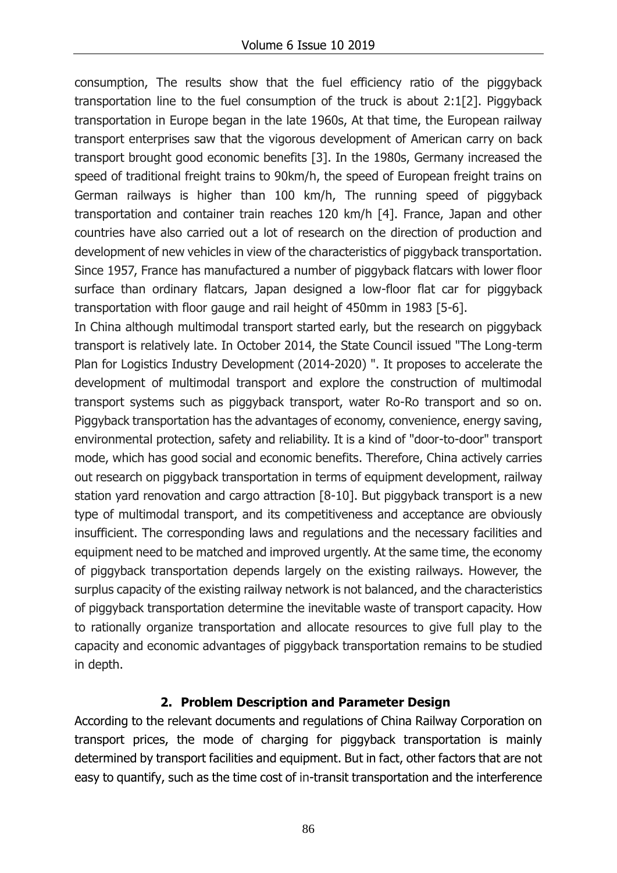consumption, The results show that the fuel efficiency ratio of the piggyback transportation line to the fuel consumption of the truck is about 2:1[2]. Piggyback transportation in Europe began in the late 1960s, At that time, the European railway transport enterprises saw that the vigorous development of American carry on back transport brought good economic benefits [3]. In the 1980s, Germany increased the speed of traditional freight trains to 90km/h, the speed of European freight trains on German railways is higher than 100 km/h, The running speed of piggyback transportation and container train reaches 120 km/h [4]. France, Japan and other countries have also carried out a lot of research on the direction of production and development of new vehicles in view of the characteristics of piggyback transportation. Since 1957, France has manufactured a number of piggyback flatcars with lower floor surface than ordinary flatcars, Japan designed a low-floor flat car for piggyback transportation with floor gauge and rail height of 450mm in 1983 [5-6].

In China although multimodal transport started early, but the research on piggyback transport is relatively late. In October 2014, the State Council issued "The Long-term Plan for Logistics Industry Development (2014-2020) ". It proposes to accelerate the development of multimodal transport and explore the construction of multimodal transport systems such as piggyback transport, water Ro-Ro transport and so on. Piggyback transportation has the advantages of economy, convenience, energy saving, environmental protection, safety and reliability. It is a kind of "door-to-door" transport mode, which has good social and economic benefits. Therefore, China actively carries out research on piggyback transportation in terms of equipment development, railway station yard renovation and cargo attraction [8-10]. But piggyback transport is a new type of multimodal transport, and its competitiveness and acceptance are obviously insufficient. The corresponding laws and regulations and the necessary facilities and equipment need to be matched and improved urgently. At the same time, the economy of piggyback transportation depends largely on the existing railways. However, the surplus capacity of the existing railway network is not balanced, and the characteristics of piggyback transportation determine the inevitable waste of transport capacity. How to rationally organize transportation and allocate resources to give full play to the capacity and economic advantages of piggyback transportation remains to be studied in depth.

## **2. Problem Description and Parameter Design**

According to the relevant documents and regulations of China Railway Corporation on transport prices, the mode of charging for piggyback transportation is mainly determined by transport facilities and equipment. But in fact, other factors that are not easy to quantify, such as the time cost of in-transit transportation and the interference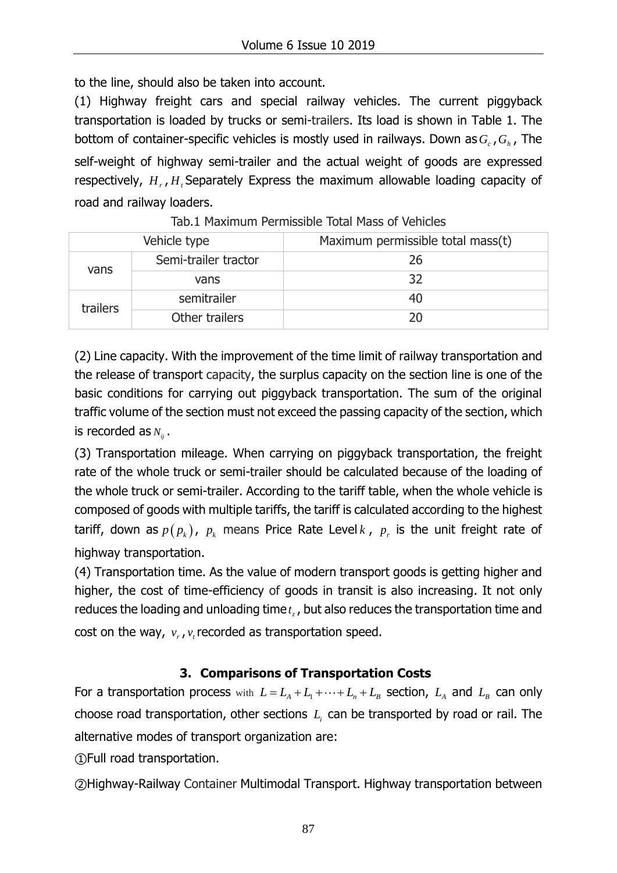to the line, should also be taken into account.

(1) Highway freight cars and special railway vehicles. The current piggyback transportation is loaded by trucks or semi-trailers. Its load is shown in Table 1. The bottom of container-specific vehicles is mostly used in railways. Down as *Gc* ,*G<sup>h</sup>* , The self-weight of highway semi-trailer and the actual weight of goods are expressed respectively,  $H_{r}$ ,  $H_{i}$  Separately Express the maximum allowable loading capacity of road and railway loaders.

| Vehicle type |                      | Maximum permissible total mass(t) |  |  |  |  |
|--------------|----------------------|-----------------------------------|--|--|--|--|
| vans         | Semi-trailer tractor | 26                                |  |  |  |  |
|              | vans                 | 32                                |  |  |  |  |
| trailers     | semitrailer          | 40                                |  |  |  |  |
|              | Other trailers       | 20                                |  |  |  |  |

### Tab.1 Maximum Permissible Total Mass of Vehicles

(2) Line capacity. With the improvement of the time limit of railway transportation and the release of transport capacity, the surplus capacity on the section line is one of the basic conditions for carrying out piggyback transportation. The sum of the original traffic volume of the section must not exceed the passing capacity of the section, which is recorded as  $N_{ij}$  .

(3) Transportation mileage. When carrying on piggyback transportation, the freight rate of the whole truck or semi-trailer should be calculated because of the loading of the whole truck or semi-trailer. According to the tariff table, when the whole vehicle is composed of goods with multiple tariffs, the tariff is calculated according to the highest tariff, down as  $p(p_k)$ ,  $p_k$  means Price Rate Level  $k$  ,  $p_r$  is the unit freight rate of highway transportation.

(4) Transportation time. As the value of modern transport goods is getting higher and higher, the cost of time-efficiency of goods in transit is also increasing. It not only reduces the loading and unloading time  $t_z$  , but also reduces the transportation time and cost on the way,  $v_r$ ,  $v_t$  recorded as transportation speed.

# **3. Comparisons of Transportation Costs**

For a transportation process with  $L = L_A + L_1 + \cdots + L_n + L_B$  section,  $L_A$  and  $L_B$  can only choose road transportation, other sections  $L_i$  can be transported by road or rail. The alternative modes of transport organization are:

①Full road transportation.

②Highway-Railway Container Multimodal Transport. Highway transportation between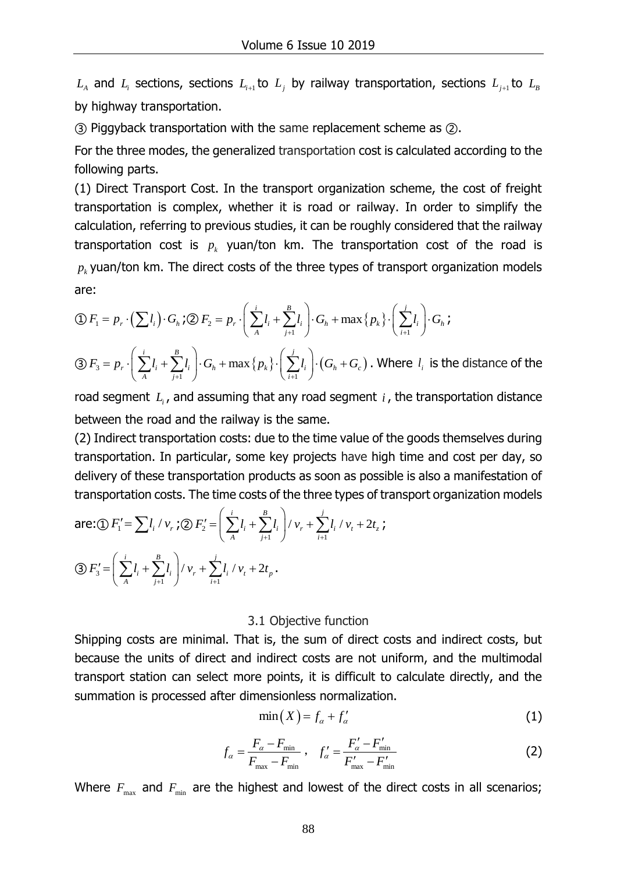and  $L_i$  sections, sections  $L_{i+1}$  to  $L_j$  by railway transportation, sections  $L_{j+1}$  to  $L_{B}$ by highway transportation.

③ Piggyback transportation with the same replacement scheme as ②.

For the three modes, the generalized transportation cost is calculated according to the following parts.

*L<sub>A</sub>* and *I<sub>A</sub>* sections, sections  $I_{\gamma+1}$  to *L<sub>i</sub>* by r<br>
by highway transportation.<br>
3) Piggyback transportation with the same lefor the three modes, the generalized transport<br>
(1) Direct Transport Cost. In the tran (1) Direct Transport Cost. In the transport organization scheme, the cost of freight transportation is complex, whether it is road or railway. In order to simplify the calculation, referring to previous studies, it can be roughly considered that the railway transportation cost is  $p_k$  yuan/ton km. The transportation cost of the road is  $p_{k}$  yuan/ton km. The direct costs of the three types of transport organization models are:

are:  
\n
$$
\text{(d)} \quad F_1 = p_r \cdot \left( \sum l_i \right) \cdot G_h \cdot \text{(e)} \quad F_2 = p_r \cdot \left( \sum_{A}^{i} l_i + \sum_{j+1}^{B} l_i \right) \cdot G_h + \max \left\{ p_k \right\} \cdot \left( \sum_{i+1}^{j} l_i \right) \cdot G_h \cdot \text{(e)} \quad \text{(f)} \quad F_3 = p_r \cdot \left( \sum_{A}^{i} l_i + \sum_{A}^{B} l_i \right) \cdot G_h + \max \left\{ p_k \right\} \cdot \left( \sum_{A}^{i} l_i \right) \cdot (G_h + G_h) \cdot \text{(where } l_i \text{ is the d})
$$

$$
\begin{aligned}\n\text{(D } F_1 &= p_r \cdot \left(\sum l_i\right) \cdot G_h \text{ ; }\n\text{(D } F_2 = p_r \cdot \left(\sum A_i + \sum_{j+1} l_i\right) \cdot G_h + \max\left\{p_k\right\} \cdot \left(\sum_{i+1} l_i\right) \cdot G_h \text{ ;} \\
\text{(3) } F_3 &= p_r \cdot \left(\sum_{A} l_i + \sum_{j+1}^B l_i\right) \cdot G_h + \max\left\{p_k\right\} \cdot \left(\sum_{i+1}^j l_i\right) \cdot (G_h + G_c) \text{ . Where } l_i \text{ is the distance of the}\n\end{aligned}
$$

road segment  $L_i$ , and assuming that any road segment  $i$ , the transportation distance between the road and the railway is the same.

(2) Indirect transportation costs: due to the time value of the goods themselves during transportation. In particular, some key projects have high time and cost per day, so delivery of these transportation products as soon as possible is also a manifestation of

transportation costs. The time costs of the three types of transport organization models  
are:① 
$$
F'_1 = \sum l_i / v_r
$$
; ②  $F'_2 = \left(\sum_{A}^{i} l_i + \sum_{j+1}^{B} l_i\right) / v_r + \sum_{i+1}^{j} l_i / v_t + 2t_z$ ;  
③  $F'_3 = \left(\sum_{A}^{i} l_i + \sum_{j+1}^{B} l_j\right) / v_r + \sum_{i+1}^{j} l_i / v_t + 2t_p$ .

#### 3.1 Objective function

Shipping costs are minimal. That is, the sum of direct costs and indirect costs, but because the units of direct and indirect costs are not uniform, and the multimodal transport station can select more points, it is difficult to calculate directly, and the summation is processed after dimensionless normalization.

$$
\min(X) = f_{\alpha} + f'_{\alpha} \tag{1}
$$

$$
f_{\alpha} = \frac{F_{\alpha} - F_{\min}}{F_{\max} - F_{\min}} , \quad f_{\alpha}' = \frac{F_{\alpha}' - F_{\min}'}{F_{\max}' - F_{\min}'} \tag{2}
$$

Where  $F_{\text{max}}$  and  $F_{\text{min}}$  are the highest and lowest of the direct costs in all scenarios;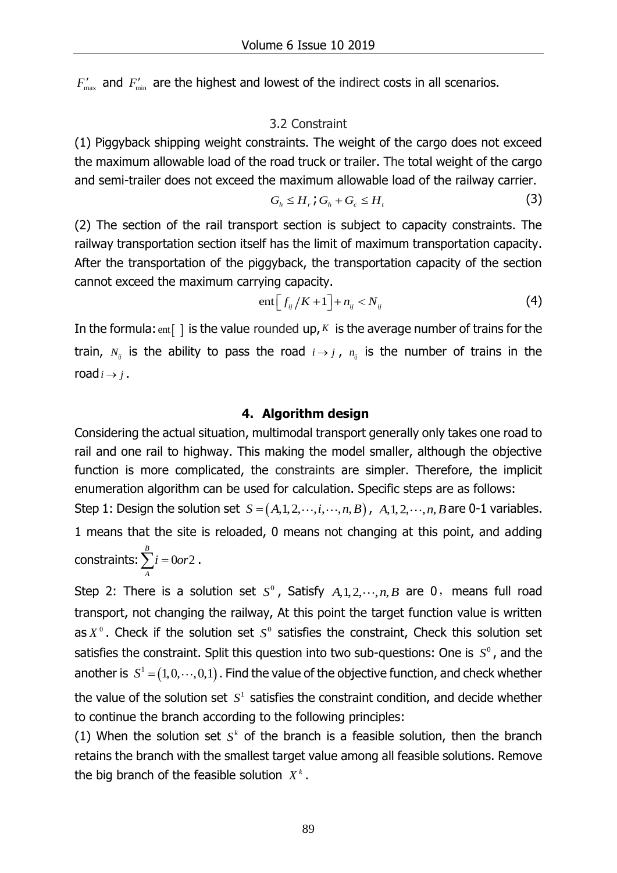$'_{\text{\tiny max}}$  and  $\,F'_{\text{\tiny min}}\,$  are the highest and lowest of the indirect costs in all scenarios.

#### 3.2 Constraint

(1) Piggyback shipping weight constraints. The weight of the cargo does not exceed the maximum allowable load of the road truck or trailer. The total weight of the cargo and semi-trailer does not exceed the maximum allowable load of the railway carrier.

$$
G_h \leq H_r \cdot G_h + G_c \leq H_t \tag{3}
$$

(2) The section of the rail transport section is subject to capacity constraints. The railway transportation section itself has the limit of maximum transportation capacity. After the transportation of the piggyback, the transportation capacity of the section cannot exceed the maximum carrying capacity.

$$
ent\left[f_{ij}/K+1\right]+n_{ij}\n(4)
$$

In the formula:  $_{\text{ent}}$  | is the value rounded up, K is the average number of trains for the train,  $N_{ij}$  is the ability to pass the road  $i \rightarrow j$ ,  $n_{ij}$  is the number of trains in the road  $i \rightarrow j$ .

#### **4. Algorithm design**

Considering the actual situation, multimodal transport generally only takes one road to rail and one rail to highway. This making the model smaller, although the objective function is more complicated, the constraints are simpler. Therefore, the implicit enumeration algorithm can be used for calculation. Specific steps are as follows: Step 1: Design the solution set  $S = (A,1,2,\dots,i,\dots,n,B)$ ,  $A,1,2,\dots,n,B$  are 0-1 variables.

1 means that the site is reloaded, 0 means not changing at this point, and adding constraints:  $\sum_{i}$  = 0or2  $\sum_{i=0}^{B} i = 0$ or2. *A*

*F*<sub>max</sub> and *F*<sub>max</sub> are the highest and lowest of<br>3.2 Con:<br>3.2 Con:<br>3.2 Con:<br>3.2 Con:<br>3.2 Con:<br>3.2 Con:<br>3.2 Con:<br>3.2 Con:<br>3.2 Con:<br>3.2 Con:<br>3.2 Con:<br>3.2 Con:<br>3.2 Con:<br>3.2 Con:<br>3.2 Con:<br>3.2 Con:<br>3.2 Con:<br>3.2 Con:<br>3.2 Con Step 2: There is a solution set  $S^0$ , Satisfy  $A, 1, 2, \dots, n$ , *B* are 0, means full road transport, not changing the railway, At this point the target function value is written as  $X^0$ . Check if the solution set  $S^0$  satisfies the constraint, Check this solution set satisfies the constraint. Split this question into two sub-questions: One is  $S<sup>0</sup>$ , and the another is  $S^1 = (1, 0, \dots, 0, 1)$ . Find the value of the objective function, and check whether the value of the solution set  $S<sup>1</sup>$  satisfies the constraint condition, and decide whether to continue the branch according to the following principles:

(1) When the solution set  $S<sup>k</sup>$  of the branch is a feasible solution, then the branch retains the branch with the smallest target value among all feasible solutions. Remove the big branch of the feasible solution  $X^k$ .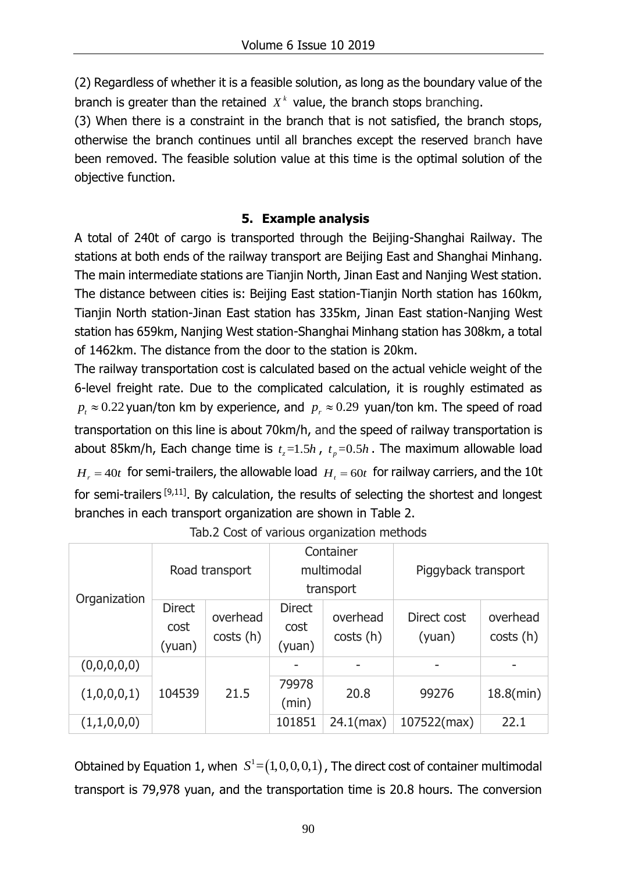(2) Regardless of whether it is a feasible solution, as long as the boundary value of the branch is greater than the retained  $X<sup>k</sup>$  value, the branch stops branching.

(3) When there is a constraint in the branch that is not satisfied, the branch stops, otherwise the branch continues until all branches except the reserved branch have been removed. The feasible solution value at this time is the optimal solution of the objective function.

## **5. Example analysis**

A total of 240t of cargo is transported through the Beijing-Shanghai Railway. The stations at both ends of the railway transport are Beijing East and Shanghai Minhang. The main intermediate stations are Tianjin North, Jinan East and Nanjing West station. The distance between cities is: Beijing East station-Tianjin North station has 160km, Tianjin North station-Jinan East station has 335km, Jinan East station-Nanjing West station has 659km, Nanjing West station-Shanghai Minhang station has 308km, a total of 1462km. The distance from the door to the station is 20km.

The railway transportation cost is calculated based on the actual vehicle weight of the 6-level freight rate. Due to the complicated calculation, it is roughly estimated as  $p_{\mu} \approx 0.22$  yuan/ton km by experience, and  $p_{\mu} \approx 0.29$  yuan/ton km. The speed of road transportation on this line is about 70km/h, and the speed of railway transportation is about 85km/h, Each change time is  $t_z = 1.5h$ ,  $t_p = 0.5h$ . The maximum allowable load  $H_r = 40t$  for semi-trailers, the allowable load  $H_t = 60t$  for railway carriers, and the 10t for semi-trailers  $[9,11]$ . By calculation, the results of selecting the shortest and longest branches in each transport organization are shown in Table 2.

| Organization | Road transport                  |                      | Container<br>multimodal<br>transport |                      | Piggyback transport   |                       |
|--------------|---------------------------------|----------------------|--------------------------------------|----------------------|-----------------------|-----------------------|
|              | <b>Direct</b><br>cost<br>(yuan) | overhead<br>costs(h) | <b>Direct</b><br>cost<br>(yuan)      | overhead<br>costs(h) | Direct cost<br>(yuan) | overhead<br>costs (h) |
| (0,0,0,0,0)  | 104539                          | 21.5                 |                                      |                      |                       |                       |
| (1,0,0,0,1)  |                                 |                      | 79978<br>(min)                       | 20.8                 | 99276                 | $18.8$ (min)          |
| (1,1,0,0,0)  |                                 |                      | 101851                               | $24.1$ (max)         | 107522(max)           | 22.1                  |

Tab.2 Cost of various organization methods

Obtained by Equation 1, when  $S^1 = (1,0,0,0,1)$ , The direct cost of container multimodal transport is 79,978 yuan, and the transportation time is 20.8 hours. The conversion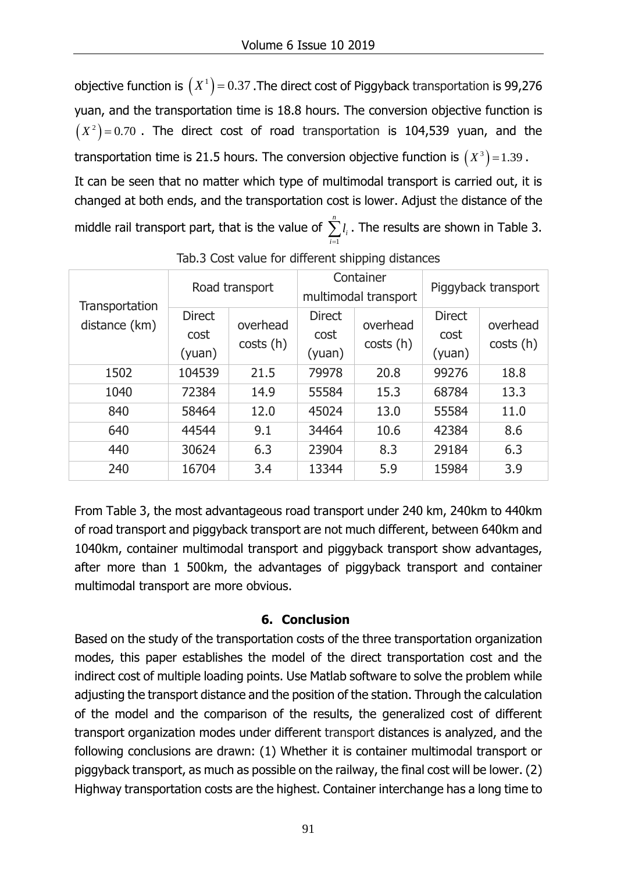objective function is  $\left(X^{1}\right)$  = 0.37 .The direct cost of Piggyback transportation is 99,276 yuan, and the transportation time is 18.8 hours. The conversion objective function is  $(X^2)$  = 0.70 . The direct cost of road transportation is 104,539 yuan, and the transportation time is 21.5 hours. The conversion objective function is  $\left( X^3\right)\!=\!1.39$  . It can be seen that no matter which type of multimodal transport is carried out, it is changed at both ends, and the transportation cost is lower. Adjust the distance of the middle rail transport part, that is the value of *n i l*  $\sum_{i=1}^{n} l_i$ . The results are shown in Table 3.

| Transportation | Road transport                  |                      | Container<br>multimodal transport |                       | Piggyback transport             |                       |
|----------------|---------------------------------|----------------------|-----------------------------------|-----------------------|---------------------------------|-----------------------|
| distance (km)  | <b>Direct</b><br>cost<br>(yuan) | overhead<br>costs(h) | <b>Direct</b><br>cost<br>(yuan)   | overhead<br>costs (h) | <b>Direct</b><br>cost<br>(yuan) | overhead<br>costs (h) |
| 1502           | 104539                          | 21.5                 | 79978                             | 20.8                  | 99276                           | 18.8                  |
| 1040           | 72384                           | 14.9                 | 55584                             | 15.3                  | 68784                           | 13.3                  |
| 840            | 58464                           | 12.0                 | 45024                             | 13.0                  | 55584                           | 11.0                  |
| 640            | 44544                           | 9.1                  | 34464                             | 10.6                  | 42384                           | 8.6                   |
| 440            | 30624                           | 6.3                  | 23904                             | 8.3                   | 29184                           | 6.3                   |
| 240            | 16704                           | 3.4                  | 13344                             | 5.9                   | 15984                           | 3.9                   |

Tab.3 Cost value for different shipping distances

1

*i*

From Table 3, the most advantageous road transport under 240 km, 240km to 440km of road transport and piggyback transport are not much different, between 640km and 1040km, container multimodal transport and piggyback transport show advantages, after more than 1 500km, the advantages of piggyback transport and container multimodal transport are more obvious.

## **6. Conclusion**

Based on the study of the transportation costs of the three transportation organization modes, this paper establishes the model of the direct transportation cost and the indirect cost of multiple loading points. Use Matlab software to solve the problem while adjusting the transport distance and the position of the station. Through the calculation of the model and the comparison of the results, the generalized cost of different transport organization modes under different transport distances is analyzed, and the following conclusions are drawn: (1) Whether it is container multimodal transport or piggyback transport, as much as possible on the railway, the final cost will be lower. (2) Highway transportation costs are the highest. Container interchange has a long time to